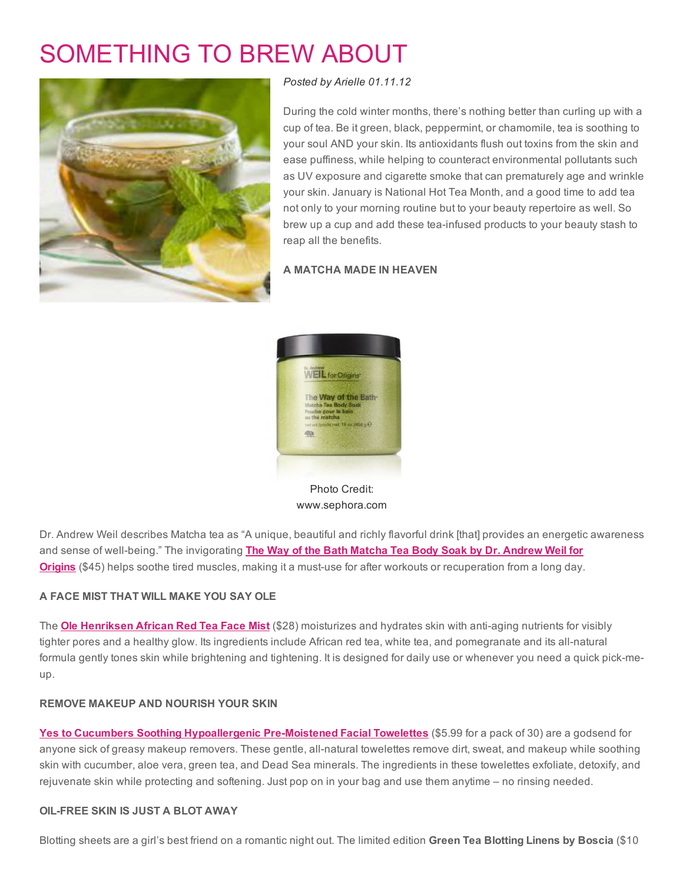# [SOMETHING](http://www.beautyinthebag.com/wordpress/something-to-brew-about/) TO BREW ABOUT



*Posted by [Arielle](http://www.beautyinthebag.com/wordpress/author/arielle/) 01.11.12*

During the cold winter months, there's nothing better than curling up with a cup of tea. Be it green, black, peppermint, or chamomile, tea is soothing to your soul AND your skin. Its antioxidants flush out toxins from the skin and ease puffiness, while helping to counteract environmental pollutants such as UV exposure and cigarette smoke that can prematurely age and wrinkle your skin. January is National Hot Tea Month, and a good time to add tea not only to your morning routine but to your beauty repertoire as well. So brew up a cup and add these tea-infused products to your beauty stash to reap all the benefits.

#### A MATCHA MADE IN HEAVEN



Photo Credit: www.sephora.com

Dr. Andrew Weil describes Matcha tea as "A unique, beautiful and richly flavorful drink [that] provides an energetic awareness and sense of well-being." The invigorating The Way of the Bath Matcha Tea Body Soak by Dr. Andrew Weil for **Origins** (\$45) helps soothe tired muscles, making it a must-use for after workouts or [recuperation](http://rstyle.me/bun2wwhmde) from a long day.

# A FACE MIST THAT WILL MAKE YOU SAY OLE

The **Ole [Henriksen](http://rstyle.me/e4ekq6hmde) African Red Tea Face Mist** (\$28) moisturizes and hydrates skin with anti-aging nutrients for visibly tighter pores and a healthy glow. Its ingredients include African red tea, white tea, and pomegranate and its all-natural formula gently tones skin while brightening and tightening. It is designed for daily use or whenever you need a quick pick-meup.

#### REMOVE MAKEUP AND NOURISH YOUR SKIN

Yes to Cucumbers Soothing [Hypoallergenic](http://rstyle.me/uiy4hmde) Pre-Moistened Facial Towelettes (\$5.99 for a pack of 30) are a godsend for anyone sick of greasy makeup removers. These gentle, all-natural towelettes remove dirt, sweat, and makeup while soothing skin with cucumber, aloe vera, green tea, and Dead Sea minerals. The ingredients in these towelettes exfoliate, detoxify, and rejuvenate skin while protecting and softening. Just pop on in your bag and use them anytime – no rinsing needed.

#### OILFREE SKIN IS JUST A BLOT AWAY

Blotting sheets are a girl's best friend on a romantic night out. The limited edition Green Tea Blotting Linens by Boscia (\$10)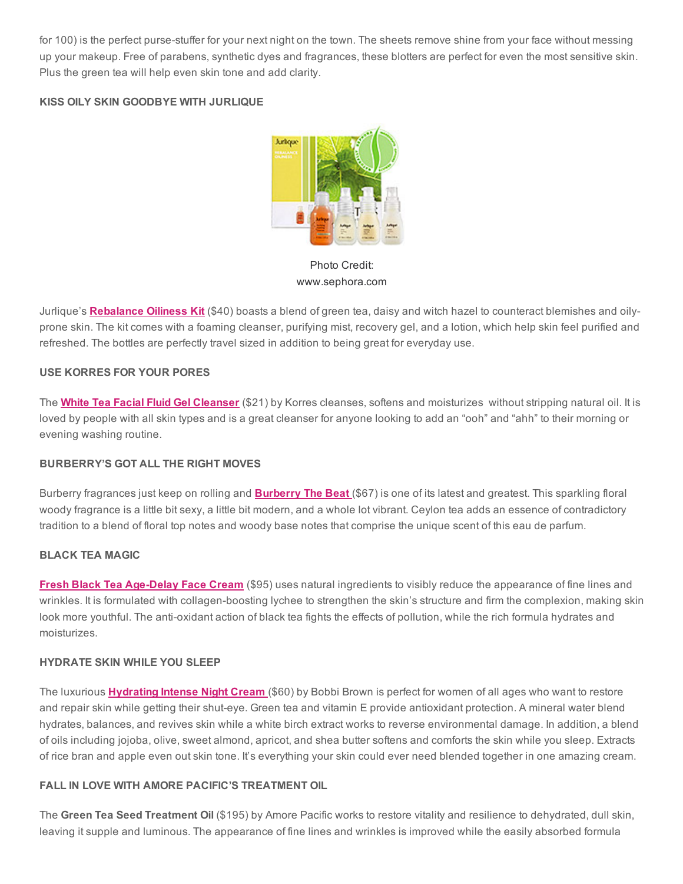for 100) is the perfect purse-stuffer for your next night on the town. The sheets remove shine from your face without messing up your makeup. Free of parabens, synthetic dyes and fragrances, these blotters are perfect for even the most sensitive skin. Plus the green tea will help even skin tone and add clarity.

# KISS OILY SKIN GOODBYE WITH JURLIQUE



Photo Credit: www.sephora.com

Jurlique's **[Rebalance](http://rstyle.me/e4fgq4hmde) Oiliness Kit** (\$40) boasts a blend of green tea, daisy and witch hazel to counteract blemishes and oilyprone skin. The kit comes with a foaming cleanser, purifying mist, recovery gel, and a lotion, which help skin feel purified and refreshed. The bottles are perfectly travel sized in addition to being great for everyday use.

#### USE KORRES FOR YOUR PORES

The White Tea Facial Fluid Gel [Cleanser](http://rstyle.me/q7kvhmde) (\$21) by Korres cleanses, softens and moisturizes without stripping natural oil. It is loved by people with all skin types and is a great cleanser for anyone looking to add an "ooh" and "ahh" to their morning or evening washing routine.

#### BURBERRY'S GOT ALL THE RIGHT MOVES

[Burberry](http://rstyle.me/exbteqhmde) fragrances just keep on rolling and **Burberry The Beat** (\$67) is one of its latest and greatest. This sparkling floral woody fragrance is a little bit sexy, a little bit modern, and a whole lot vibrant. Ceylon tea adds an essence of contradictory tradition to a blend of floral top notes and woody base notes that comprise the unique scent of this eau de parfum.

# BLACK TEA MAGIC

Fresh Black Tea Age-Delay Face Cream (\$95) uses natural ingredients to visibly reduce the appearance of fine lines and wrinkles. It is formulated with collagen-boosting lychee to strengthen the skin's structure and firm the complexion, making skin look more youthful. The anti-oxidant action of black tea fights the effects of pollution, while the rich formula hydrates and moisturizes.

# HYDRATE SKIN WHILE YOU SLEEP

The luxurious **[Hydrating](http://rstyle.me/f9s5rkhmde) Intense Night Cream** (\$60) by Bobbi Brown is perfect for women of all ages who want to restore and repair skin while getting their shut-eye. Green tea and vitamin E provide antioxidant protection. A mineral water blend hydrates, balances, and revives skin while a white birch extract works to reverse environmental damage. In addition, a blend of oils including jojoba, olive, sweet almond, apricot, and shea butter softens and comforts the skin while you sleep. Extracts of rice bran and apple even out skin tone. It's everything your skin could ever need blended together in one amazing cream.

## FALL IN LOVE WITH AMORE PACIFIC'S TREATMENT OIL

The Green Tea Seed Treatment Oil (\$195) by Amore Pacific works to restore vitality and resilience to dehydrated, dull skin, leaving it supple and luminous. The appearance of fine lines and wrinkles is improved while the easily absorbed formula